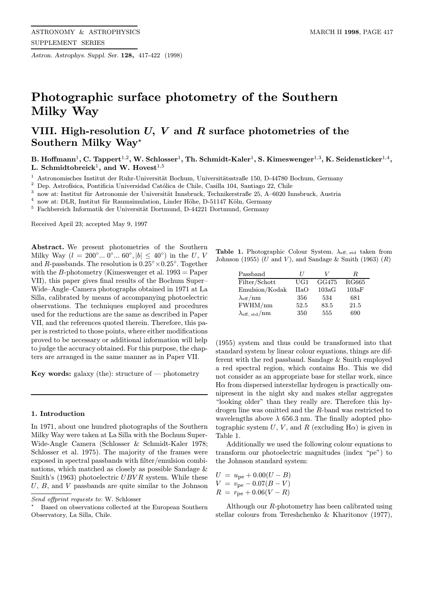Astron. Astrophys. Suppl. Ser. 128, 417-422 (1998)

# Photographic surface photometry of the Southern Milky Way

# VIII. High-resolution  $U, V$  and  $R$  surface photometries of the Southern Milky Way?

B. Hoffmann<sup>1</sup>, C. Tappert<sup>1,2</sup>, W. Schlosser<sup>1</sup>, Th. Schmidt-Kaler<sup>1</sup>, S. Kimeswenger<sup>1,3</sup>, K. Seidensticker<sup>1,4</sup>, L. Schmidtobreick<sup>1</sup>, and W. Hovest<sup>1,5</sup>

<sup>1</sup> Astronomisches Institut der Ruhr-Universität Bochum, Universitätsstraße 150, D-44780 Bochum, Germany

<sup>2</sup> Dep. Astrofísica, Pontificia Universidad Católica de Chile, Casilla 104, Santiago 22, Chile<br><sup>3</sup> nove et Institut für Astronomia der Universität Inschried. Technikarstraße 25, A, 6020 In

now at: Institut für Astronomie der Universität Innsbruck, Technikerstraße 25, A–6020 Innsbruck, Austria

now at: DLR, Institut für Raumsimulation, Linder Höhe, D-51147 Köln, Germany

 $^5\,$  Fachbereich Informatik der Universität Dortmund, D-44221 Dortmund, Germany

Received April 23; accepted May 9, 1997

Abstract. We present photometries of the Southern Milky Way ( $l = 200^{\circ}... 0^{\circ}... 60^{\circ}, |b| \leq 40^{\circ}$ ) in the U, V and R-passbands. The resolution is  $0.25^{\circ} \times 0.25^{\circ}$ . Together with the B-photometry (Kimeswenger et al.  $1993 =$ Paper VII), this paper gives final results of the Bochum Super– Wide–Angle–Camera photographs obtained in 1971 at La Silla, calibrated by means of accompanying photoelectric observations. The techniques employed and procedures used for the reductions are the same as described in Paper VII, and the references quoted therein. Therefore, this paper is restricted to those points, where either modifications proved to be necessary or additional information will help to judge the accuracy obtained. For this purpose, the chapters are arranged in the same manner as in Paper VII.

Key words: galaxy (the): structure of  $-$  photometry

# 1. Introduction

In 1971, about one hundred photographs of the Southern Milky Way were taken at La Silla with the Bochum Super-Wide-Angle Camera (Schlosser & Schmidt-Kaler 1978; Schlosser et al. 1975). The majority of the frames were exposed in spectral passbands with filter/emulsion combinations, which matched as closely as possible Sandage & Smith's (1963) photoelectric  $UBVR$  system. While these  $U, B,$  and  $V$  passbands are quite similar to the Johnson

Table 1. Photographic Colour System.  $\lambda_{\text{eff, std}}$  taken from Johnson (1955) ( $U$  and  $V$ ), and Sandage & Smith (1963)  $(R)$ 

| Passband                         | $\prime$    | V     | R.           |
|----------------------------------|-------------|-------|--------------|
| Filter/Schott                    | UG1         | GG475 | <b>RG665</b> |
| Emulsion/Kodak                   | <b>IIaO</b> | 103aG | 103aF        |
| $\lambda_{\rm eff}/\rm{nm}$      | 356         | 534   | 681          |
| FWHM/nm                          | 52.5        | 83.5  | 21.5         |
| $\lambda_{\rm eff, std}/\rm{nm}$ | 350         | 555   | 690          |

(1955) system and thus could be transformed into that standard system by linear colour equations, things are different with the red passband. Sandage & Smith employed a red spectral region, which contains  $H\alpha$ . This we did not consider as an appropriate base for stellar work, since  $H\alpha$  from dispersed interstellar hydrogen is practically omnipresent in the night sky and makes stellar aggregates "looking older" than they really are. Therefore this hydrogen line was omitted and the R-band was restricted to wavelengths above  $\lambda$  656.3 nm. The finally adopted photographic system U, V, and R (excluding  $H\alpha$ ) is given in Table 1.

Additionally we used the following colour equations to transform our photoelectric magnitudes (index "pe") to the Johnson standard system:

$$
U = u_{\text{pe}} + 0.00(U - B)
$$
  
\n
$$
V = v_{\text{pe}} - 0.07(B - V)
$$
  
\n
$$
R = r_{\text{pe}} + 0.06(V - R)
$$

Although our R-photometry has been calibrated using stellar colours from Tereshchenko & Kharitonov (1977),

Send offprint requests to: W. Schlosser

<sup>?</sup> Based on observations collected at the European Southern Observatory, La Silla, Chile.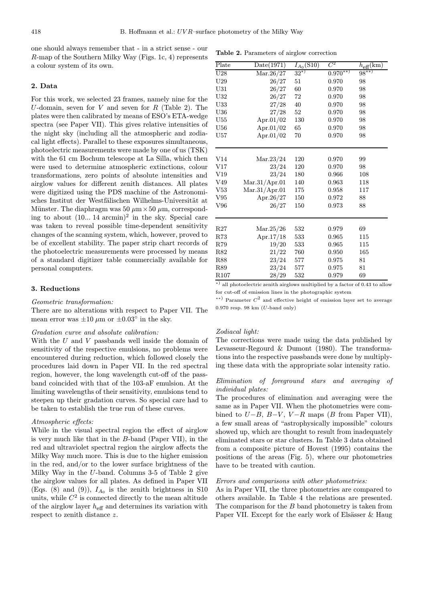one should always remember that - in a strict sense - our R-map of the Southern Milky Way (Figs. 1c, 4) represents a colour system of its own.

#### 2. Data

For this work, we selected 23 frames, namely nine for the U-domain, seven for V and seven for R (Table 2). The plates were then calibrated by means of ESO's ETA-wedge spectra (see Paper VII). This gives relative intensities of the night sky (including all the atmospheric and zodiacal light effects). Parallel to these exposures simultaneous, photoelectric measurements were made by one of us (TSK) with the 61 cm Bochum telescope at La Silla, which then were used to determine atmospheric extinctions, colour transformations, zero points of absolute intensities and airglow values for different zenith distances. All plates were digitized using the PDS machine of the Astronomisches Institut der Westfälischen Wilhelms-Universität at Münster. The diaphragm was 50  $\mu$ m  $\times$  50  $\mu$ m, corresponding to about  $(10... 14 \text{ arcmin})^2$  in the sky. Special care was taken to reveal possible time-dependent sensitivity changes of the scanning system, which, however, proved to be of excellent stability. The paper strip chart records of the photoelectric measurements were processed by means of a standard digitizer table commercially available for personal computers.

## 3. Reductions

#### Geometric transformation:

There are no alterations with respect to Paper VII. The mean error was  $\pm 10 \ \mu m$  or  $\pm 0.03^{\circ}$  in the sky.

#### Gradation curve and absolute calibration:

With the  $U$  and  $V$  passbands well inside the domain of sensitivity of the respective emulsions, no problems were encountered during reduction, which followed closely the procedures laid down in Paper VII. In the red spectral region, however, the long wavelength cut-off of the passband coincided with that of the 103-aF emulsion. At the limiting wavelengths of their sensitivity, emulsions tend to steepen up their gradation curves. So special care had to be taken to establish the true run of these curves.

#### Atmospheric effects:

While in the visual spectral region the effect of airglow is very much like that in the B-band (Paper VII), in the red and ultraviolet spectral region the airglow affects the Milky Way much more. This is due to the higher emission in the red, and/or to the lower surface brightness of the Milky Way in the U-band. Columns 3-5 of Table 2 give the airglow values for all plates. As defined in Paper VII (Eqs. (8) and (9)),  $I_{A_0}$  is the zenith brightness in S10 units, while  $C<sup>2</sup>$  is connected directly to the mean altitude of the airglow layer  $h_{\text{eff}}$  and determines its variation with respect to zenith distance z.

Table 2. Parameters of airglow correction

| $\overline{\text{Place}}$ | Date(1971)           | $I_{A_0}(\overline{\mathrm{S10}})$ | $C^2$      | $h_{\text{eff}}(\text{km})$ |
|---------------------------|----------------------|------------------------------------|------------|-----------------------------|
| U28                       | Mar.26/27            | $32^{*}$                           | $0.970***$ | $98^{**}$                   |
| $_{\mathrm{U29}}$         | 26/27                | 51                                 | 0.970      | 98                          |
| U31                       | 26/27                | 60                                 | 0.970      | 98                          |
| U32                       | 26/27                | 72                                 | 0.970      | 98                          |
| U33                       | 27/28                | 40                                 | 0.970      | 98                          |
| U36                       | 27/28                | 52                                 | 0.970      | 98                          |
| U55                       | Apr.01/02            | 130                                | 0.970      | 98                          |
| ${\bf U}56$               | Apr.01/02            | $65\,$                             | 0.970      | 98                          |
| $_{\mathrm{U57}}$         | Apr.01/02            | 70                                 | 0.970      | 98                          |
|                           |                      |                                    |            |                             |
| V14                       | $\mathrm{Mar}.23/24$ | 120                                | 0.970      | 99                          |
| $_{\rm V17}$              | 23/24                | 120                                | 0.970      | 98                          |
| $_{\mathrm{V19}}$         | 23/24                | 180                                | 0.966      | 108                         |
| V49                       | Mar.31/Apr.01        | 140                                | 0.963      | 118                         |
| V53                       | Mar.31/Apr.01        | 175                                | 0.958      | 117                         |
| $_{\rm V95}$              | Apr.26/27            | 150                                | 0.972      | 88                          |
| V96                       | 26/27                | 150                                | 0.973      | 88                          |
|                           |                      |                                    |            |                             |
| R27                       | $\mathrm{Mar.25}/26$ | 532                                | 0.979      | 69                          |
| R73                       | Apr. $17/18$         | 533                                | 0.965      | 115                         |
| R79                       | 19/20                | 533                                | 0.965      | 115                         |
| R82                       | 21/22                | 760                                | 0.950      | 165                         |
| <b>R88</b>                | 23/24                | 577                                | 0.975      | 81                          |
| R89                       | 23/24                | 577                                | 0.975      | 81                          |
| R <sub>107</sub>          | 28/29                | 532                                | 0.979      | 69                          |

<sup>∗</sup>) all photoelectric zenith airglows multiplied by a factor of 0.43 to allow for cut-off of emission lines in the photographic system

 $*$ <sup>\*\*</sup>) Parameter  $C^2$  and effective height of emission layer set to average 0.970 resp. 98 km (U-band only)

#### Zodiacal light:

The corrections were made using the data published by Levasseur-Regourd & Dumont (1980). The transformations into the respective passbands were done by multiplying these data with the appropriate solar intensity ratio.

## Elimination of foreground stars and averaging of individual plates:

The procedures of elimination and averaging were the same as in Paper VII. When the photometries were combined to  $U-B$ ,  $B-V$ ,  $V-R$  maps (B from Paper VII), a few small areas of "astrophysically impossible" colours showed up, which are thought to result from inadequately eliminated stars or star clusters. In Table 3 data obtained from a composite picture of Hovest (1995) contains the positions of the areas (Fig. 5), where our photometries have to be treated with caution.

#### Errors and comparisons with other photometries:

As in Paper VII, the three photometries are compared to others available. In Table 4 the relations are presented. The comparison for the  $B$  band photometry is taken from Paper VII. Except for the early work of Elsässer & Haug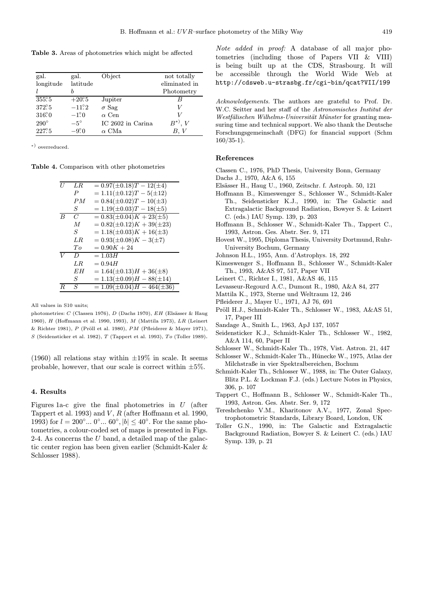Table 3. Areas of photometries which might be affected

| gal.          | gal.          | Object            | not totally   |
|---------------|---------------|-------------------|---------------|
| longitude     | lattice       |                   | eliminated in |
|               | h             |                   | Photometry    |
| $355^\circ.5$ | $+20^\circ 5$ | Jupiter           | В             |
| 372°5         | $-11^\circ.2$ | $\sigma$ Sag      | V             |
| $316^\circ$   | $-1^\circ 0$  | $\alpha$ Cen      | V             |
| $290^\circ$   | $-5^\circ$    | IC 2602 in Carina | $B^*$ . $V$   |
| 227.5         | $-9.0^\circ$  | $\alpha$ CMa      | B, V          |

<sup>∗</sup>) overreduced.

Table 4. Comparison with other photometries

| II               | LR               | $= 0.97(\pm 0.18)T - 12(\pm 4)$   |
|------------------|------------------|-----------------------------------|
|                  | $\boldsymbol{P}$ | $= 1.11(\pm 0.12)T - 5(\pm 12)$   |
|                  | PM               | $= 0.84(\pm 0.02)T - 10(\pm 3)$   |
|                  | S                | $= 1.19(\pm 0.03)T - 18(\pm 5)$   |
| $\boldsymbol{B}$ | C                | $= 0.83(\pm 0.04)K + 23(\pm 5)$   |
|                  | $\overline{M}$   | $= 0.82(\pm 0.12)K + 39(\pm 23)$  |
|                  | S                | $= 1.18(\pm 0.03)K + 16(\pm 3)$   |
|                  | LR.              | $= 0.93(\pm 0.08)K - 3(\pm 7)$    |
|                  | To               | $= 0.90K + 24$                    |
| V                | D                | $=1.03H$                          |
|                  | LR.              | $= 0.94H$                         |
|                  | EН               | $= 1.64(\pm 0.13)H + 36(\pm 8)$   |
|                  | S                | $= 1.13(\pm 0.09)H - 88(\pm 14)$  |
| R                | S                | $= 1.09(\pm 0.04)H - 464(\pm 36)$ |
|                  |                  |                                   |

All values in S10 units;

photometries: C (Classen 1976), D (Dachs 1970),  $EH$  (Elsässer & Haug 1960), H (Hoffmann et al. 1990, 1993), M (Mattila 1973), LR (Leinert & Richter 1981), P (Pröll et al. 1980), PM (Pfleiderer & Mayer 1971), S (Seidensticker et al. 1982), T (Tappert et al. 1993), To (Toller 1989).

(1960) all relations stay within  $\pm 19\%$  in scale. It seems probable, however, that our scale is correct within  $\pm 5\%$ .

#### 4. Results

Figures 1a-c give the final photometries in  $U$  (after Tappert et al. 1993) and  $V, R$  (after Hoffmann et al. 1990, 1993) for  $l = 200°... 0°... 60°, |b| \le 40°$ . For the same photometries, a colour-coded set of maps is presented in Figs. 2-4. As concerns the U band, a detailed map of the galactic center region has been given earlier (Schmidt-Kaler & Schlosser 1988).

Note added in proof: A database of all major photometries (including those of Papers VII & VIII) is being built up at the CDS, Strasbourg. It will be accessible through the World Wide Web at http://cdsweb.u-strasbg.fr/cgi-bin/qcat?VII/199

Acknowledgements. The authors are grateful to Prof. Dr. W.C. Seitter and her staff of the Astronomisches Institut der Westfälischen Wilhelms-Universität Münster for granting measuring time and technical support. We also thank the Deutsche Forschungsgemeinschaft (DFG) for financial support (Schm  $160/35-1$ ).

#### References

- Classen C., 1976, PhD Thesis, University Bonn, Germany
- Dachs J., 1970, A&A 6, 155
- Elsässer H., Haug U., 1960, Zeitschr. f. Astroph. 50, 121
- Hoffmann B., Kimeswenger S., Schlosser W., Schmidt-Kaler Th., Seidensticker K.J., 1990, in: The Galactic and Extragalactic Background Radiation, Bowyer S. & Leinert C. (eds.) IAU Symp. 139, p. 203
- Hoffmann B., Schlosser W., Schmidt-Kaler Th., Tappert C., 1993, Astron. Ges. Abstr. Ser. 9, 171
- Hovest W., 1995, Diploma Thesis, University Dortmund, Ruhr-University Bochum, Germany
- Johnson H.L., 1955, Ann. d'Astrophys. 18, 292
- Kimeswenger S., Hoffmann B., Schlosser W., Schmidt-Kaler Th., 1993, A&AS 97, 517, Paper VII
- Leinert C., Richter I., 1981, A&AS 46, 115
- Levasseur-Regourd A.C., Dumont R., 1980, A&A 84, 277
- Mattila K., 1973, Sterne und Weltraum 12, 246
- Pfleiderer J., Mayer U., 1971, AJ 76, 691
- Pröll H.J., Schmidt-Kaler Th., Schlosser W., 1983, A&AS 51, 17, Paper III
- Sandage A., Smith L., 1963, ApJ 137, 1057
- Seidensticker K.J., Schmidt-Kaler Th., Schlosser W., 1982, A&A 114, 60, Paper II
- Schlosser W., Schmidt-Kaler Th., 1978, Vist. Astron. 21, 447
- Schlosser W., Schmidt-Kaler Th., Hünecke W., 1975, Atlas der Milchstraße in vier Spektralbereichen, Bochum
- Schmidt-Kaler Th., Schlosser W., 1988, in: The Outer Galaxy, Blitz P.L. & Lockman F.J. (eds.) Lecture Notes in Physics, 306, p. 107
- Tappert C., Hoffmann B., Schlosser W., Schmidt-Kaler Th., 1993, Astron. Ges. Abstr. Ser. 9, 172
- Tereshchenko V.M., Kharitonov A.V., 1977, Zonal Spectrophotometric Standards, Library Board, London, UK
- Toller G.N., 1990, in: The Galactic and Extragalactic Background Radiation, Bowyer S. & Leinert C. (eds.) IAU Symp. 139, p. 21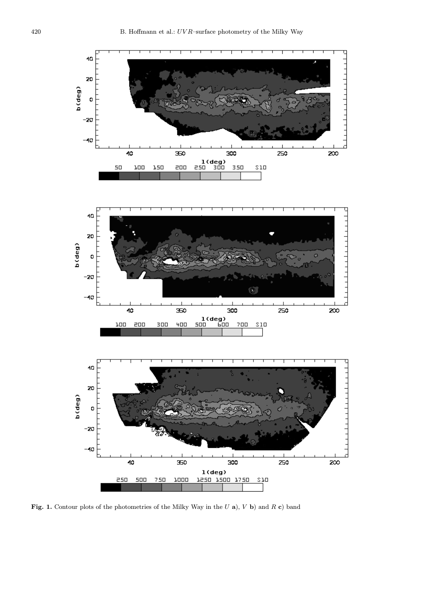

Fig. 1. Contour plots of the photometries of the Milky Way in the  $U$  a),  $V$  b) and  $R$  c) band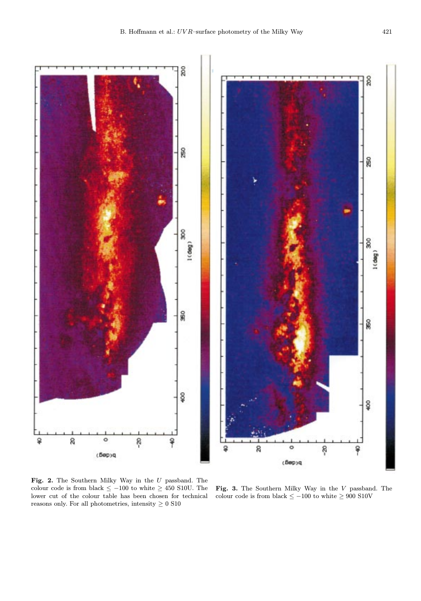

Fig. 2. The Southern Milky Way in the  $U$  passband. The colour code is from black  $\leq -100$  to white  $\geq 450$  S10U. The lower cut of the colour table has been chosen for technical reasons only. For all photometries, intensity  $\geq 0$  S10

Fig. 3. The Southern Milky Way in the V passband. The colour code is from black  $\le -100$  to white  $\ge 900$  S10V